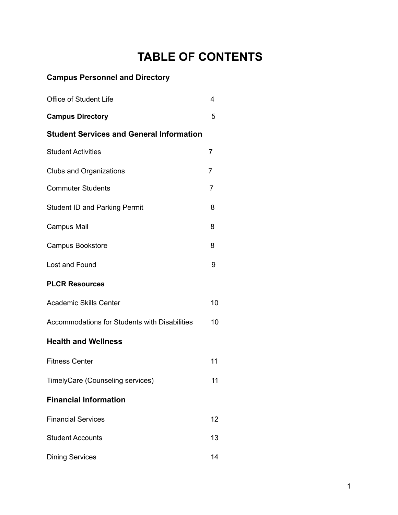# **TABLE OF CONTENTS**

## **Campus Personnel and Directory**

| <b>Office of Student Life</b>                   | 4              |
|-------------------------------------------------|----------------|
| <b>Campus Directory</b>                         | 5              |
| <b>Student Services and General Information</b> |                |
| <b>Student Activities</b>                       | 7              |
| <b>Clubs and Organizations</b>                  | $\overline{7}$ |
| <b>Commuter Students</b>                        | 7              |
| <b>Student ID and Parking Permit</b>            | 8              |
| <b>Campus Mail</b>                              | 8              |
| <b>Campus Bookstore</b>                         | 8              |
| Lost and Found                                  | 9              |
| <b>PLCR Resources</b>                           |                |
| <b>Academic Skills Center</b>                   | 10             |
| Accommodations for Students with Disabilities   | 10             |
| <b>Health and Wellness</b>                      |                |
| <b>Fitness Center</b>                           | 11             |
| TimelyCare (Counseling services)                | 11             |
| <b>Financial Information</b>                    |                |
| <b>Financial Services</b>                       | 12             |
| <b>Student Accounts</b>                         | 13             |
| <b>Dining Services</b>                          | 14             |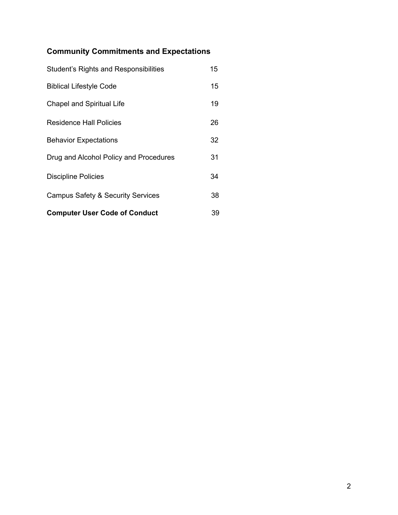## **Community Commitments and Expectations**

| <b>Computer User Code of Conduct</b>         | 39 |
|----------------------------------------------|----|
| <b>Campus Safety &amp; Security Services</b> | 38 |
| <b>Discipline Policies</b>                   | 34 |
| Drug and Alcohol Policy and Procedures       | 31 |
| <b>Behavior Expectations</b>                 | 32 |
| <b>Residence Hall Policies</b>               | 26 |
| <b>Chapel and Spiritual Life</b>             | 19 |
| <b>Biblical Lifestyle Code</b>               | 15 |
| Student's Rights and Responsibilities        | 15 |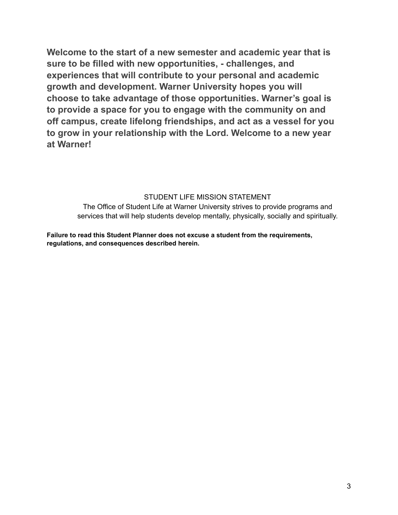**Welcome to the start of a new semester and academic year that is sure to be filled with new opportunities, - challenges, and experiences that will contribute to your personal and academic growth and development. Warner University hopes you will choose to take advantage of those opportunities. Warner's goal is to provide a space for you to engage with the community on and off campus, create lifelong friendships, and act as a vessel for you to grow in your relationship with the Lord. Welcome to a new year at Warner!**

#### STUDENT LIFE MISSION STATEMENT

The Office of Student Life at Warner University strives to provide programs and services that will help students develop mentally, physically, socially and spiritually.

**Failure to read this Student Planner does not excuse a student from the requirements, regulations, and consequences described herein.**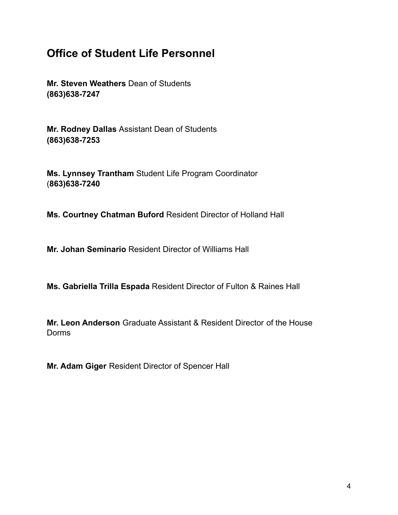## **Office of Student Life Personnel**

**Mr. Steven Weathers** Dean of Students **(863)638-7247**

**Mr. Rodney Dallas** Assistant Dean of Students **(863)638-7253**

**Ms. Lynnsey Trantham** Student Life Program Coordinator (**863)638-7240**

**Ms. Courtney Chatman Buford** Resident Director of Holland Hall

**Mr. Johan Seminario** Resident Director of Williams Hall

**Ms. Gabriella Trilla Espada** Resident Director of Fulton & Raines Hall

**Mr. Leon Anderson** Graduate Assistant & Resident Director of the House Dorms

**Mr. Adam Giger** Resident Director of Spencer Hall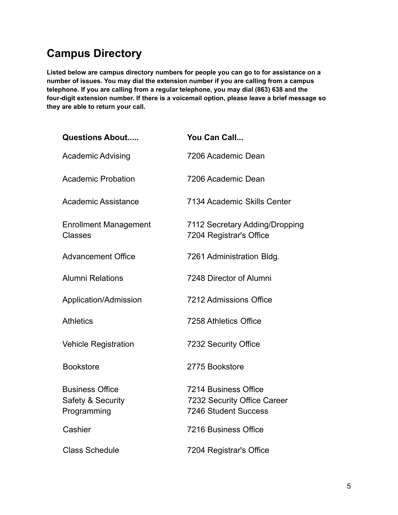# **Campus Directory**

**Listed below are campus directory numbers for people you can go to for assistance on a number of issues. You may dial the extension number if you are calling from a campus telephone. If you are calling from a regular telephone, you may dial (863) 638 and the four-digit extension number. If there is a voicemail option, please leave a brief message so they are able to return your call.**

| <b>Questions About</b>                                     | You Can Call                                                                              |
|------------------------------------------------------------|-------------------------------------------------------------------------------------------|
| <b>Academic Advising</b>                                   | 7206 Academic Dean                                                                        |
| <b>Academic Probation</b>                                  | 7206 Academic Dean                                                                        |
| Academic Assistance                                        | 7134 Academic Skills Center                                                               |
| <b>Enrollment Management</b><br><b>Classes</b>             | 7112 Secretary Adding/Dropping<br>7204 Registrar's Office                                 |
| <b>Advancement Office</b>                                  | 7261 Administration Bldg.                                                                 |
| <b>Alumni Relations</b>                                    | 7248 Director of Alumni                                                                   |
| Application/Admission                                      | 7212 Admissions Office                                                                    |
| <b>Athletics</b>                                           | 7258 Athletics Office                                                                     |
| <b>Vehicle Registration</b>                                | 7232 Security Office                                                                      |
| <b>Bookstore</b>                                           | 2775 Bookstore                                                                            |
| <b>Business Office</b><br>Safety & Security<br>Programming | <b>7214 Business Office</b><br>7232 Security Office Career<br><b>7246 Student Success</b> |
| Cashier                                                    | 7216 Business Office                                                                      |
| <b>Class Schedule</b>                                      | 7204 Registrar's Office                                                                   |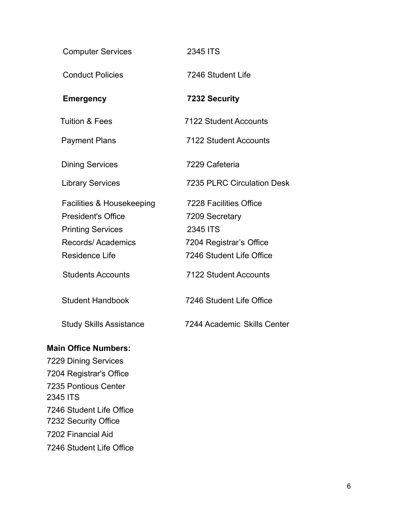| <b>Computer Services</b>       | 2345 ITS                          |
|--------------------------------|-----------------------------------|
| <b>Conduct Policies</b>        | 7246 Student Life                 |
| <b>Emergency</b>               | 7232 Security                     |
| <b>Tuition &amp; Fees</b>      | 7122 Student Accounts             |
| <b>Payment Plans</b>           | 7122 Student Accounts             |
| <b>Dining Services</b>         | 7229 Cafeteria                    |
| <b>Library Services</b>        | <b>7235 PLRC Circulation Desk</b> |
| Facilities & Housekeeping      | 7228 Facilities Office            |
| <b>President's Office</b>      | 7209 Secretary                    |
| <b>Printing Services</b>       | 2345 ITS                          |
| Records/Academics              | 7204 Registrar's Office           |
| <b>Residence Life</b>          | 7246 Student Life Office          |
| <b>Students Accounts</b>       | <b>7122 Student Accounts</b>      |
| <b>Student Handbook</b>        | 7246 Student Life Office          |
| <b>Study Skills Assistance</b> | 7244 Academic Skills Center       |

## **Main Office Numbers:**

7229 Dining Services 7204 Registrar's Office 7235 Pontious Center 2345 ITS 7246 Student Life Office 7232 Security Office 7202 Financial Aid 7246 Student Life Office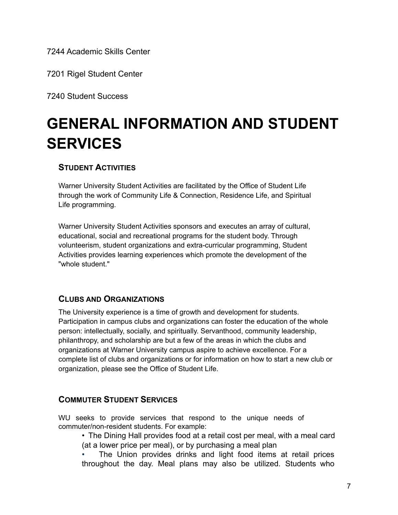7244 Academic Skills Center

7201 Rigel Student Center

7240 Student Success

# **GENERAL INFORMATION AND STUDENT SERVICES**

## **STUDENT ACTIVITIES**

Warner University Student Activities are facilitated by the Office of Student Life through the work of Community Life & Connection, Residence Life, and Spiritual Life programming.

Warner University Student Activities sponsors and executes an array of cultural, educational, social and recreational programs for the student body. Through volunteerism, student organizations and extra-curricular programming, Student Activities provides learning experiences which promote the development of the "whole student."

## **CLUBS AND ORGANIZATIONS**

The University experience is a time of growth and development for students. Participation in campus clubs and organizations can foster the education of the whole person: intellectually, socially, and spiritually. Servanthood, community leadership, philanthropy, and scholarship are but a few of the areas in which the clubs and organizations at Warner University campus aspire to achieve excellence. For a complete list of clubs and organizations or for information on how to start a new club or organization, please see the Office of Student Life.

## **COMMUTER STUDENT SERVICES**

WU seeks to provide services that respond to the unique needs of commuter/non-resident students. For example:

• The Dining Hall provides food at a retail cost per meal, with a meal card (at a lower price per meal), or by purchasing a meal plan

The Union provides drinks and light food items at retail prices throughout the day. Meal plans may also be utilized. Students who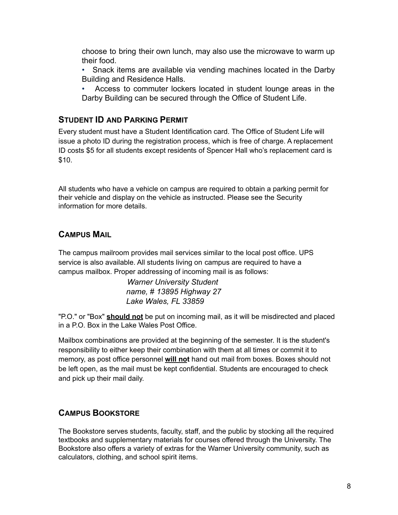choose to bring their own lunch, may also use the microwave to warm up their food.

- Snack items are available via vending machines located in the Darby Building and Residence Halls.
- Access to commuter lockers located in student lounge areas in the Darby Building can be secured through the Office of Student Life.

## **STUDENT ID AND PARKING PERMIT**

Every student must have a Student Identification card. The Office of Student Life will issue a photo ID during the registration process, which is free of charge. A replacement ID costs \$5 for all students except residents of Spencer Hall who's replacement card is \$10.

All students who have a vehicle on campus are required to obtain a parking permit for their vehicle and display on the vehicle as instructed. Please see the Security information for more details.

## **CAMPUS MAIL**

The campus mailroom provides mail services similar to the local post office. UPS service is also available. All students living on campus are required to have a campus mailbox. Proper addressing of incoming mail is as follows:

> *Warner University Student name,* # *13895 Highway 27 Lake Wales, FL 33859*

"P.O." or "Box" **should not** be put on incoming mail, as it will be misdirected and placed in a P.O. Box in the Lake Wales Post Office.

Mailbox combinations are provided at the beginning of the semester. It is the student's responsibility to either keep their combination with them at all times or commit it to memory, as post office personnel **will not** hand out mail from boxes. Boxes should not be left open, as the mail must be kept confidential. Students are encouraged to check and pick up their mail daily.

## **CAMPUS BOOKSTORE**

The Bookstore serves students, faculty, staff, and the public by stocking all the required textbooks and supplementary materials for courses offered through the University. The Bookstore also offers a variety of extras for the Warner University community, such as calculators, clothing, and school spirit items.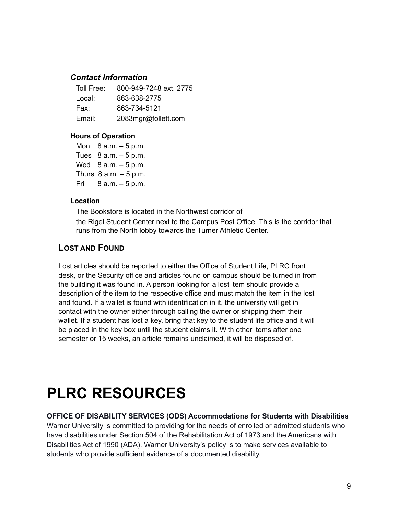#### *Contact Information*

| Toll Free: | 800-949-7248 ext. 2775 |
|------------|------------------------|
| Local:     | 863-638-2775           |
| Fax:       | 863-734-5121           |
| Email:     | 2083mgr@follett.com    |

#### **Hours of Operation**

Mon  $8 a.m. - 5 p.m.$ Tues  $8$  a.m.  $-5$  p.m. Wed  $8$  a.m.  $-5$  p.m. Thurs  $8$  a.m.  $-5$  p.m. Fri 8 a.m. – 5 p.m.

#### **Location**

The Bookstore is located in the Northwest corridor of the Rigel Student Center next to the Campus Post Office. This is the corridor that runs from the North lobby towards the Turner Athletic Center.

## **LOST AND FOUND**

Lost articles should be reported to either the Office of Student Life, PLRC front desk, or the Security office and articles found on campus should be turned in from the building it was found in. A person looking for a lost item should provide a description of the item to the respective office and must match the item in the lost and found. If a wallet is found with identification in it, the university will get in contact with the owner either through calling the owner or shipping them their wallet. If a student has lost a key, bring that key to the student life office and it will be placed in the key box until the student claims it. With other items after one semester or 15 weeks, an article remains unclaimed, it will be disposed of.

# **PLRC RESOURCES**

#### **OFFICE OF DISABILITY SERVICES (ODS) Accommodations for Students with Disabilities**

Warner University is committed to providing for the needs of enrolled or admitted students who have disabilities under Section 504 of the Rehabilitation Act of 1973 and the Americans with Disabilities Act of 1990 (ADA). Warner University's policy is to make services available to students who provide sufficient evidence of a documented disability.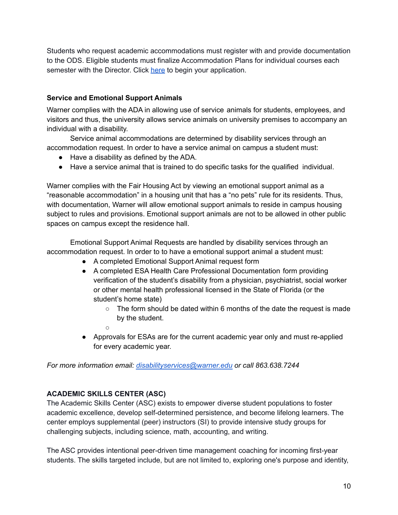Students who request academic accommodations must register with and provide documentation to the ODS. Eligible students must finalize Accommodation Plans for individual courses each semester with the Director. Click [here](https://drive.google.com/file/d/176vZRB4ZZPoNEU5xGhj-ZORCs-1r4G_H/view?usp=sharing) to begin your application.

#### **Service and Emotional Support Animals**

Warner complies with the ADA in allowing use of service animals for students, employees, and visitors and thus, the university allows service animals on university premises to accompany an individual with a disability.

Service animal accommodations are determined by disability services through an accommodation request. In order to have a service animal on campus a student must:

- Have a disability as defined by the ADA.
- Have a service animal that is trained to do specific tasks for the qualified individual.

Warner complies with the Fair Housing Act by viewing an emotional support animal as a "reasonable accommodation" in a housing unit that has a "no pets" rule for its residents. Thus, with documentation, Warner will allow emotional support animals to reside in campus housing subject to rules and provisions. Emotional support animals are not to be allowed in other public spaces on campus except the residence hall.

Emotional Support Animal Requests are handled by disability services through an accommodation request. In order to to have a emotional support animal a student must:

- A completed Emotional Support Animal request form
- A completed ESA Health Care Professional Documentation form providing verification of the student's disability from a physician, psychiatrist, social worker or other mental health professional licensed in the State of Florida (or the student's home state)
	- $\circ$  The form should be dated within 6 months of the date the request is made by the student.
	- $\circ$
- Approvals for ESAs are for the current academic year only and must re-applied for every academic year.

*For more information email: [disabilityservices@warner.edu](mailto:disabilityservices@warner.edu) or call 863.638.7244*

#### **ACADEMIC SKILLS CENTER (ASC)**

The Academic Skills Center (ASC) exists to empower diverse student populations to foster academic excellence, develop self-determined persistence, and become lifelong learners. The center employs supplemental (peer) instructors (SI) to provide intensive study groups for challenging subjects, including science, math, accounting, and writing.

The ASC provides intentional peer-driven time management coaching for incoming first-year students. The skills targeted include, but are not limited to, exploring one's purpose and identity,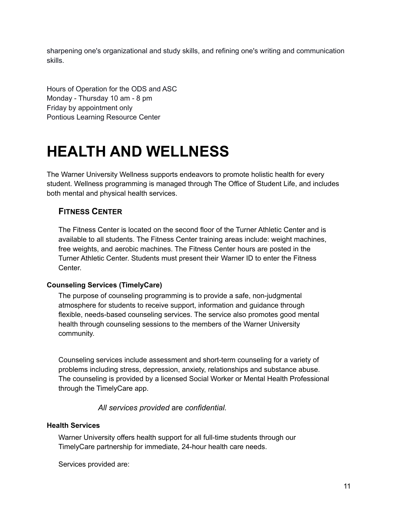sharpening one's organizational and study skills, and refining one's writing and communication skills.

Hours of Operation for the ODS and ASC Monday - Thursday 10 am - 8 pm Friday by appointment only Pontious Learning Resource Center

# **HEALTH AND WELLNESS**

The Warner University Wellness supports endeavors to promote holistic health for every student. Wellness programming is managed through The Office of Student Life, and includes both mental and physical health services.

## **FITNESS CENTER**

The Fitness Center is located on the second floor of the Turner Athletic Center and is available to all students. The Fitness Center training areas include: weight machines, free weights, and aerobic machines. The Fitness Center hours are posted in the Turner Athletic Center. Students must present their Warner ID to enter the Fitness Center.

#### **Counseling Services (TimelyCare)**

The purpose of counseling programming is to provide a safe, non-judgmental atmosphere for students to receive support, information and guidance through flexible, needs-based counseling services. The service also promotes good mental health through counseling sessions to the members of the Warner University community.

Counseling services include assessment and short-term counseling for a variety of problems including stress, depression, anxiety, relationships and substance abuse. The counseling is provided by a licensed Social Worker or Mental Health Professional through the TimelyCare app.

*All services provided* are *confidential.*

#### **Health Services**

Warner University offers health support for all full-time students through our TimelyCare partnership for immediate, 24-hour health care needs.

Services provided are: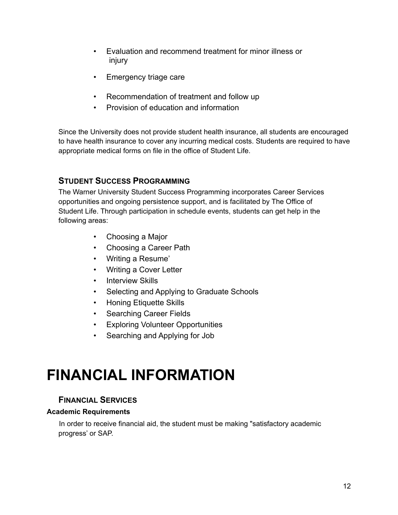- Evaluation and recommend treatment for minor illness or injury
- Emergency triage care
- Recommendation of treatment and follow up
- Provision of education and information

Since the University does not provide student health insurance, all students are encouraged to have health insurance to cover any incurring medical costs. Students are required to have appropriate medical forms on file in the office of Student Life.

## **STUDENT SUCCESS PROGRAMMING**

The Warner University Student Success Programming incorporates Career Services opportunities and ongoing persistence support, and is facilitated by The Office of Student Life. Through participation in schedule events, students can get help in the following areas:

- Choosing a Major
- Choosing a Career Path
- Writing a Resume'
- Writing a Cover Letter
- Interview Skills
- Selecting and Applying to Graduate Schools
- Honing Etiquette Skills
- Searching Career Fields
- Exploring Volunteer Opportunities
- Searching and Applying for Job

# **FINANCIAL INFORMATION**

## **FINANCIAL SERVICES**

#### **Academic Requirements**

In order to receive financial aid, the student must be making "satisfactory academic progress' or SAP.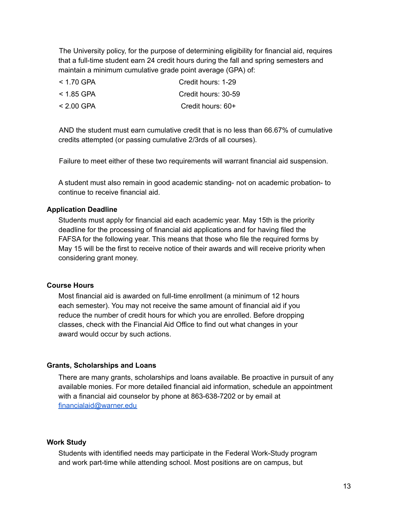The University policy, for the purpose of determining eligibility for financial aid, requires that a full-time student earn 24 credit hours during the fall and spring semesters and maintain a minimum cumulative grade point average (GPA) of:

| $< 1.70$ GPA | Credit hours: 1-29  |
|--------------|---------------------|
| $<$ 1.85 GPA | Credit hours: 30-59 |
| $< 2.00$ GPA | Credit hours: 60+   |

AND the student must earn cumulative credit that is no less than 66.67% of cumulative credits attempted (or passing cumulative 2/3rds of all courses).

Failure to meet either of these two requirements will warrant financial aid suspension.

A student must also remain in good academic standing- not on academic probation- to continue to receive financial aid.

#### **Application Deadline**

Students must apply for financial aid each academic year. May 15th is the priority deadline for the processing of financial aid applications and for having filed the FAFSA for the following year. This means that those who file the required forms by May 15 will be the first to receive notice of their awards and will receive priority when considering grant money.

#### **Course Hours**

Most financial aid is awarded on full-time enrollment (a minimum of 12 hours each semester). You may not receive the same amount of financial aid if you reduce the number of credit hours for which you are enrolled. Before dropping classes, check with the Financial Aid Office to find out what changes in your award would occur by such actions.

#### **Grants, Scholarships and Loans**

There are many grants, scholarships and loans available. Be proactive in pursuit of any available monies. For more detailed financial aid information, schedule an appointment with a financial aid counselor by phone at 863-638-7202 or by email at [financialaid@warner.edu](mailto:financialaid@warner.edu)

#### **Work Study**

Students with identified needs may participate in the Federal Work-Study program and work part-time while attending school. Most positions are on campus, but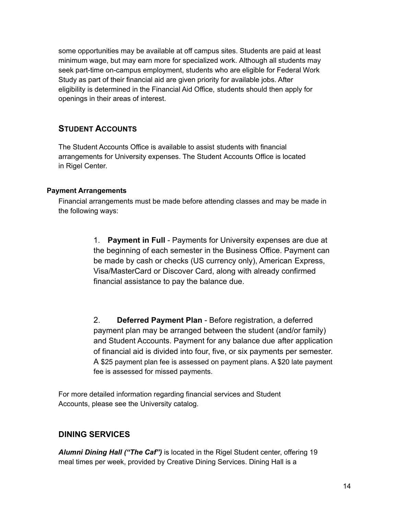some opportunities may be available at off campus sites. Students are paid at least minimum wage, but may earn more for specialized work. Although all students may seek part-time on-campus employment, students who are eligible for Federal Work Study as part of their financial aid are given priority for available jobs. After eligibility is determined in the Financial Aid Office, students should then apply for openings in their areas of interest.

## **STUDENT ACCOUNTS**

The Student Accounts Office is available to assist students with financial arrangements for University expenses. The Student Accounts Office is located in Rigel Center.

#### **Payment Arrangements**

Financial arrangements must be made before attending classes and may be made in the following ways:

> 1. **Payment in Full** - Payments for University expenses are due at the beginning of each semester in the Business Office. Payment can be made by cash or checks (US currency only), American Express, Visa/MasterCard or Discover Card, along with already confirmed financial assistance to pay the balance due.

2. **Deferred Payment Plan** - Before registration, a deferred payment plan may be arranged between the student (and/or family) and Student Accounts. Payment for any balance due after application of financial aid is divided into four, five, or six payments per semester. A \$25 payment plan fee is assessed on payment plans. A \$20 late payment fee is assessed for missed payments.

For more detailed information regarding financial services and Student Accounts, please see the University catalog.

## **DINING SERVICES**

*Alumni Dining Hall ("The Caf")* is located in the Rigel Student center, offering 19 meal times per week, provided by Creative Dining Services. Dining Hall is a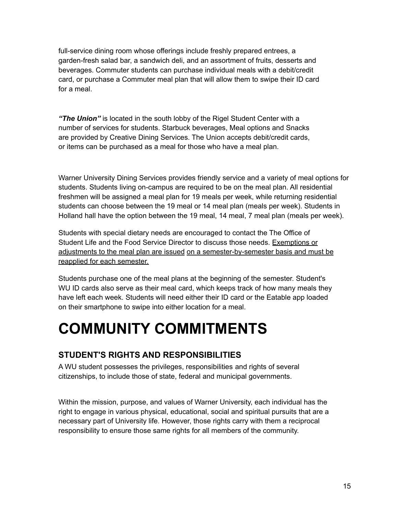full-service dining room whose offerings include freshly prepared entrees, a garden-fresh salad bar, a sandwich deli, and an assortment of fruits, desserts and beverages. Commuter students can purchase individual meals with a debit/credit card, or purchase a Commuter meal plan that will allow them to swipe their ID card for a meal.

*"The Union"* is located in the south lobby of the Rigel Student Center with a number of services for students. Starbuck beverages, Meal options and Snacks are provided by Creative Dining Services. The Union accepts debit/credit cards, or items can be purchased as a meal for those who have a meal plan.

Warner University Dining Services provides friendly service and a variety of meal options for students. Students living on-campus are required to be on the meal plan. All residential freshmen will be assigned a meal plan for 19 meals per week, while returning residential students can choose between the 19 meal or 14 meal plan (meals per week). Students in Holland hall have the option between the 19 meal, 14 meal, 7 meal plan (meals per week).

Students with special dietary needs are encouraged to contact the The Office of Student Life and the Food Service Director to discuss those needs. Exemptions or adjustments to the meal plan are issued on a semester-by-semester basis and must be reapplied for each semester.

Students purchase one of the meal plans at the beginning of the semester. Student's WU ID cards also serve as their meal card, which keeps track of how many meals they have left each week. Students will need either their ID card or the Eatable app loaded on their smartphone to swipe into either location for a meal.

# **COMMUNITY COMMITMENTS**

## **STUDENT'S RIGHTS AND RESPONSIBILITIES**

A WU student possesses the privileges, responsibilities and rights of several citizenships, to include those of state, federal and municipal governments.

Within the mission, purpose, and values of Warner University, each individual has the right to engage in various physical, educational, social and spiritual pursuits that are a necessary part of University life. However, those rights carry with them a reciprocal responsibility to ensure those same rights for all members of the community.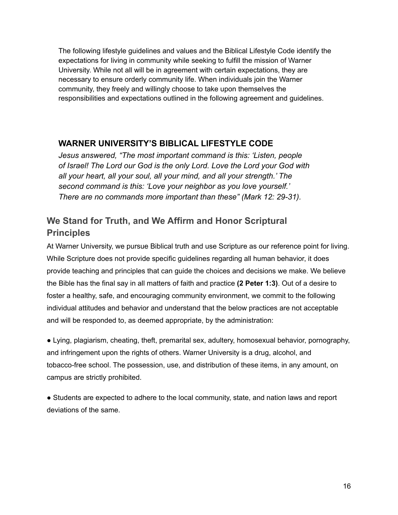The following lifestyle guidelines and values and the Biblical Lifestyle Code identify the expectations for living in community while seeking to fulfill the mission of Warner University. While not all will be in agreement with certain expectations, they are necessary to ensure orderly community life. When individuals join the Warner community, they freely and willingly choose to take upon themselves the responsibilities and expectations outlined in the following agreement and guidelines.

## **WARNER UNIVERSITY'S BIBLICAL LIFESTYLE CODE**

*Jesus answered, "The most important command is this: 'Listen, people of Israel! The Lord our God is the only Lord. Love the Lord your God with all your heart, all your soul, all your mind, and all your strength.' The second command is this: 'Love your neighbor as you love yourself.' There are no commands more important than these" (Mark 12: 29-31).*

## **We Stand for Truth, and We Affirm and Honor Scriptural Principles**

At Warner University, we pursue Biblical truth and use Scripture as our reference point for living. While Scripture does not provide specific guidelines regarding all human behavior, it does provide teaching and principles that can guide the choices and decisions we make. We believe the Bible has the final say in all matters of faith and practice **(2 Peter 1:3)**. Out of a desire to foster a healthy, safe, and encouraging community environment, we commit to the following individual attitudes and behavior and understand that the below practices are not acceptable and will be responded to, as deemed appropriate, by the administration:

● Lying, plagiarism, cheating, theft, premarital sex, adultery, homosexual behavior, pornography, and infringement upon the rights of others. Warner University is a drug, alcohol, and tobacco-free school. The possession, use, and distribution of these items, in any amount, on campus are strictly prohibited.

● Students are expected to adhere to the local community, state, and nation laws and report deviations of the same.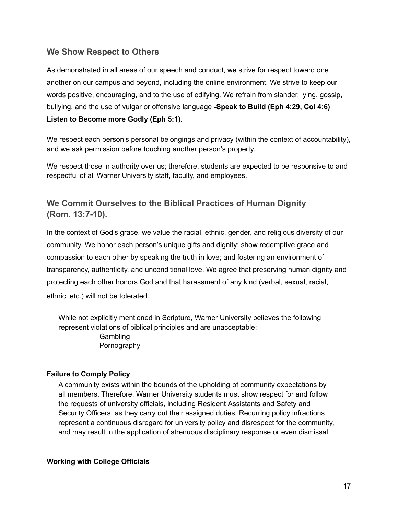## **We Show Respect to Others**

As demonstrated in all areas of our speech and conduct, we strive for respect toward one another on our campus and beyond, including the online environment. We strive to keep our words positive, encouraging, and to the use of edifying. We refrain from slander, lying, gossip, bullying, and the use of vulgar or offensive language **-Speak to Build (Eph 4:29, Col 4:6) Listen to Become more Godly (Eph 5:1).**

We respect each person's personal belongings and privacy (within the context of accountability), and we ask permission before touching another person's property.

We respect those in authority over us; therefore, students are expected to be responsive to and respectful of all Warner University staff, faculty, and employees.

## **We Commit Ourselves to the Biblical Practices of Human Dignity (Rom. 13:7-10).**

In the context of God's grace, we value the racial, ethnic, gender, and religious diversity of our community. We honor each person's unique gifts and dignity; show redemptive grace and compassion to each other by speaking the truth in love; and fostering an environment of transparency, authenticity, and unconditional love. We agree that preserving human dignity and protecting each other honors God and that harassment of any kind (verbal, sexual, racial, ethnic, etc.) will not be tolerated.

While not explicitly mentioned in Scripture, Warner University believes the following represent violations of biblical principles and are unacceptable: **Gambling** Pornography

#### **Failure to Comply Policy**

A community exists within the bounds of the upholding of community expectations by all members. Therefore, Warner University students must show respect for and follow the requests of university officials, including Resident Assistants and Safety and Security Officers, as they carry out their assigned duties. Recurring policy infractions represent a continuous disregard for university policy and disrespect for the community, and may result in the application of strenuous disciplinary response or even dismissal.

#### **Working with College Officials**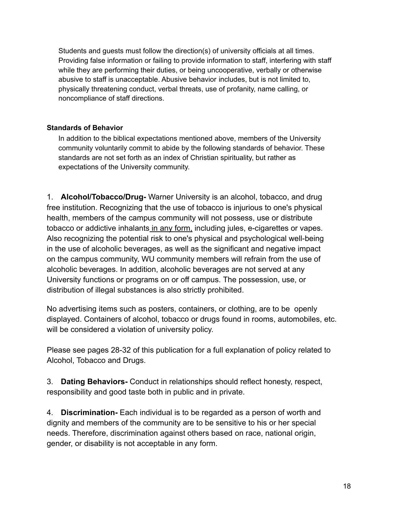Students and guests must follow the direction(s) of university officials at all times. Providing false information or failing to provide information to staff, interfering with staff while they are performing their duties, or being uncooperative, verbally or otherwise abusive to staff is unacceptable. Abusive behavior includes, but is not limited to, physically threatening conduct, verbal threats, use of profanity, name calling, or noncompliance of staff directions.

#### **Standards of Behavior**

In addition to the biblical expectations mentioned above, members of the University community voluntarily commit to abide by the following standards of behavior. These standards are not set forth as an index of Christian spirituality, but rather as expectations of the University community.

1. **Alcohol/Tobacco/Drug-** Warner University is an alcohol, tobacco, and drug free institution. Recognizing that the use of tobacco is injurious to one's physical health, members of the campus community will not possess, use or distribute tobacco or addictive inhalants in any form, including jules, e-cigarettes or vapes. Also recognizing the potential risk to one's physical and psychological well-being in the use of alcoholic beverages, as well as the significant and negative impact on the campus community, WU community members will refrain from the use of alcoholic beverages. In addition, alcoholic beverages are not served at any University functions or programs on or off campus. The possession, use, or distribution of illegal substances is also strictly prohibited.

No advertising items such as posters, containers, or clothing, are to be openly displayed. Containers of alcohol, tobacco or drugs found in rooms, automobiles, etc. will be considered a violation of university policy.

Please see pages 28-32 of this publication for a full explanation of policy related to Alcohol, Tobacco and Drugs.

3. **Dating Behaviors-** Conduct in relationships should reflect honesty, respect, responsibility and good taste both in public and in private.

4. **Discrimination-** Each individual is to be regarded as a person of worth and dignity and members of the community are to be sensitive to his or her special needs. Therefore, discrimination against others based on race, national origin, gender, or disability is not acceptable in any form.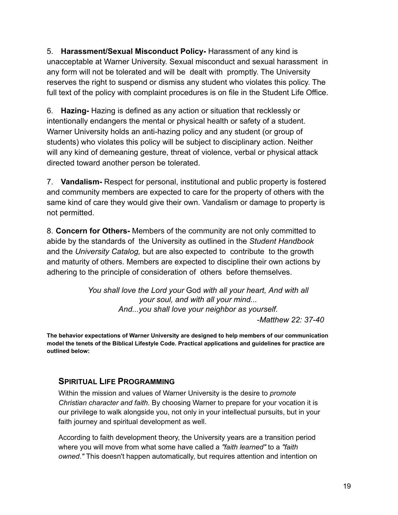5. **Harassment/Sexual Misconduct Policy-** Harassment of any kind is unacceptable at Warner University. Sexual misconduct and sexual harassment in any form will not be tolerated and will be dealt with promptly. The University reserves the right to suspend or dismiss any student who violates this policy. The full text of the policy with complaint procedures is on file in the Student Life Office.

6. **Hazing-** Hazing is defined as any action or situation that recklessly or intentionally endangers the mental or physical health or safety of a student. Warner University holds an anti-hazing policy and any student (or group of students) who violates this policy will be subject to disciplinary action. Neither will any kind of demeaning gesture, threat of violence, verbal or physical attack directed toward another person be tolerated.

7. **Vandalism-** Respect for personal, institutional and public property is fostered and community members are expected to care for the property of others with the same kind of care they would give their own. Vandalism or damage to property is not permitted.

8. **Concern for Others-** Members of the community are not only committed to abide by the standards of the University as outlined in the *Student Handbook* and the *University Catalog,* but are also expected to contribute to the growth and maturity of others. Members are expected to discipline their own actions by adhering to the principle of consideration of others before themselves.

> *You shall love the Lord your* God *with all your heart, And with all your soul, and with all your mind... And...you shall love your neighbor as yourself.*

*-Matthew 22: 37-40*

**The behavior expectations of Warner University are designed to help members of our communication model the tenets of the Biblical Lifestyle Code. Practical applications and guidelines for practice are outlined below:**

## **SPIRITUAL LIFE PROGRAMMING**

Within the mission and values of Warner University is the desire to *promote Christian character and faith.* By choosing Warner to prepare for your vocation it is our privilege to walk alongside you, not only in your intellectual pursuits, but in your faith journey and spiritual development as well.

According to faith development theory, the University years are a transition period where you will move from what some have called a *"faith learned"* to a *"faith owned."* This doesn't happen automatically, but requires attention and intention on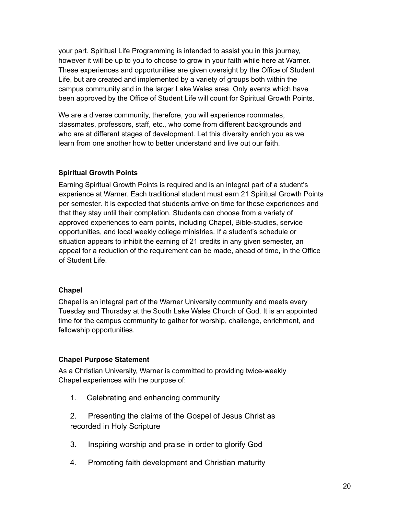your part. Spiritual Life Programming is intended to assist you in this journey, however it will be up to you to choose to grow in your faith while here at Warner. These experiences and opportunities are given oversight by the Office of Student Life, but are created and implemented by a variety of groups both within the campus community and in the larger Lake Wales area. Only events which have been approved by the Office of Student Life will count for Spiritual Growth Points.

We are a diverse community, therefore, you will experience roommates, classmates, professors, staff, etc., who come from different backgrounds and who are at different stages of development. Let this diversity enrich you as we learn from one another how to better understand and live out our faith.

#### **Spiritual Growth Points**

Earning Spiritual Growth Points is required and is an integral part of a student's experience at Warner. Each traditional student must earn 21 Spiritual Growth Points per semester. It is expected that students arrive on time for these experiences and that they stay until their completion. Students can choose from a variety of approved experiences to earn points, including Chapel, Bible-studies, service opportunities, and local weekly college ministries. If a student's schedule or situation appears to inhibit the earning of 21 credits in any given semester, an appeal for a reduction of the requirement can be made, ahead of time, in the Office of Student Life.

#### **Chapel**

Chapel is an integral part of the Warner University community and meets every Tuesday and Thursday at the South Lake Wales Church of God. It is an appointed time for the campus community to gather for worship, challenge, enrichment, and fellowship opportunities.

## **Chapel Purpose Statement**

As a Christian University, Warner is committed to providing twice-weekly Chapel experiences with the purpose of:

- 1. Celebrating and enhancing community
- 2. Presenting the claims of the Gospel of Jesus Christ as recorded in Holy Scripture
- 3. Inspiring worship and praise in order to glorify God
- 4. Promoting faith development and Christian maturity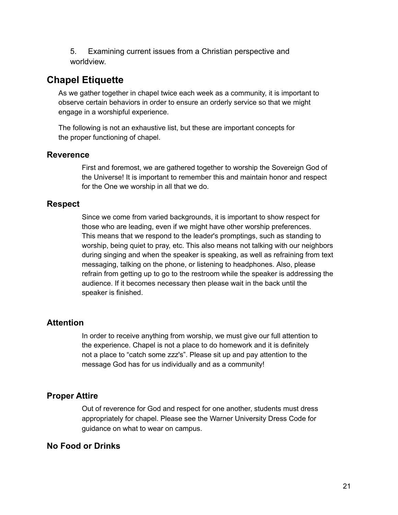5. Examining current issues from a Christian perspective and worldview.

## **Chapel Etiquette**

As we gather together in chapel twice each week as a community, it is important to observe certain behaviors in order to ensure an orderly service so that we might engage in a worshipful experience.

The following is not an exhaustive list, but these are important concepts for the proper functioning of chapel.

## **Reverence**

First and foremost, we are gathered together to worship the Sovereign God of the Universe! It is important to remember this and maintain honor and respect for the One we worship in all that we do.

## **Respect**

Since we come from varied backgrounds, it is important to show respect for those who are leading, even if we might have other worship preferences. This means that we respond to the leader's promptings, such as standing to worship, being quiet to pray, etc. This also means not talking with our neighbors during singing and when the speaker is speaking, as well as refraining from text messaging, talking on the phone, or listening to headphones. Also, please refrain from getting up to go to the restroom while the speaker is addressing the audience. If it becomes necessary then please wait in the back until the speaker is finished.

## **Attention**

In order to receive anything from worship, we must give our full attention to the experience. Chapel is not a place to do homework and it is definitely not a place to "catch some zzz's". Please sit up and pay attention to the message God has for us individually and as a community!

## **Proper Attire**

Out of reverence for God and respect for one another, students must dress appropriately for chapel. Please see the Warner University Dress Code for guidance on what to wear on campus.

## **No Food or Drinks**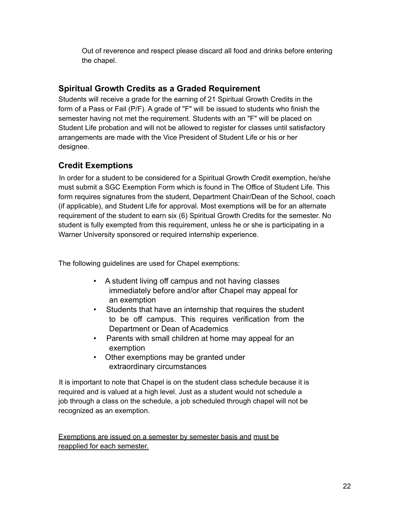Out of reverence and respect please discard all food and drinks before entering the chapel.

## **Spiritual Growth Credits as a Graded Requirement**

Students will receive a grade for the earning of 21 Spiritual Growth Credits in the form of a Pass or Fail (P/F). A grade of "F" will be issued to students who finish the semester having not met the requirement. Students with an "F" will be placed on Student Life probation and will not be allowed to register for classes until satisfactory arrangements are made with the Vice President of Student Life or his or her designee.

## **Credit Exemptions**

In order for a student to be considered for a Spiritual Growth Credit exemption, he/she must submit a SGC Exemption Form which is found in The Office of Student Life. This form requires signatures from the student, Department Chair/Dean of the School, coach (if applicable), and Student Life for approval. Most exemptions will be for an alternate requirement of the student to earn six (6) Spiritual Growth Credits for the semester. No student is fully exempted from this requirement, unless he or she is participating in a Warner University sponsored or required internship experience.

The following guidelines are used for Chapel exemptions:

- A student living off campus and not having classes immediately before and/or after Chapel may appeal for an exemption
- Students that have an internship that requires the student to be off campus. This requires verification from the Department or Dean of Academics
- Parents with small children at home may appeal for an exemption
- Other exemptions may be granted under extraordinary circumstances

It is important to note that Chapel is on the student class schedule because it is required and is valued at a high level. Just as a student would not schedule a job through a class on the schedule, a job scheduled through chapel will not be recognized as an exemption.

Exemptions are issued on a semester by semester basis and must be reapplied for each semester.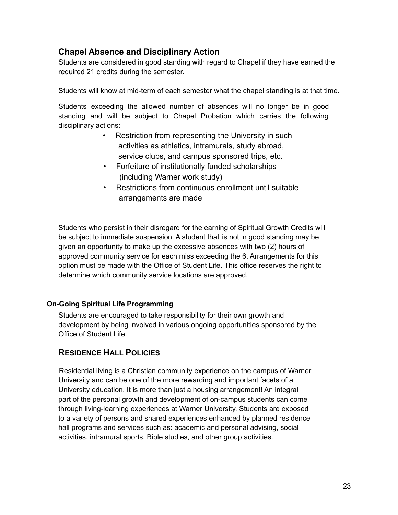## **Chapel Absence and Disciplinary Action**

Students are considered in good standing with regard to Chapel if they have earned the required 21 credits during the semester.

Students will know at mid-term of each semester what the chapel standing is at that time.

Students exceeding the allowed number of absences will no longer be in good standing and will be subject to Chapel Probation which carries the following disciplinary actions:

- Restriction from representing the University in such activities as athletics, intramurals, study abroad, service clubs, and campus sponsored trips, etc.
- Forfeiture of institutionally funded scholarships (including Warner work study)
- Restrictions from continuous enrollment until suitable arrangements are made

Students who persist in their disregard for the earning of Spiritual Growth Credits will be subject to immediate suspension. A student that is not in good standing may be given an opportunity to make up the excessive absences with two (2) hours of approved community service for each miss exceeding the 6. Arrangements for this option must be made with the Office of Student Life. This office reserves the right to determine which community service locations are approved.

## **On-Going Spiritual Life Programming**

Students are encouraged to take responsibility for their own growth and development by being involved in various ongoing opportunities sponsored by the Office of Student Life.

## **RESIDENCE HALL POLICIES**

Residential living is a Christian community experience on the campus of Warner University and can be one of the more rewarding and important facets of a University education. It is more than just a housing arrangement! An integral part of the personal growth and development of on-campus students can come through living-learning experiences at Warner University. Students are exposed to a variety of persons and shared experiences enhanced by planned residence hall programs and services such as: academic and personal advising, social activities, intramural sports, Bible studies, and other group activities.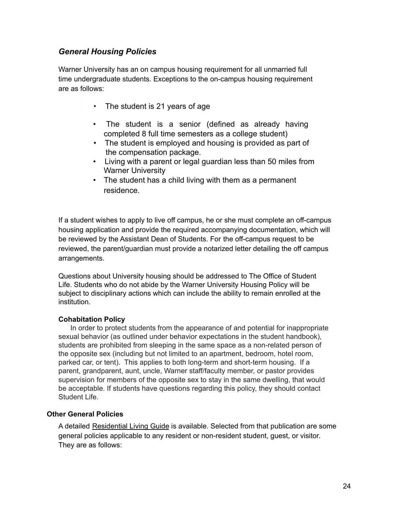## *General Housing Policies*

Warner University has an on campus housing requirement for all unmarried full time undergraduate students. Exceptions to the on-campus housing requirement are as follows:

- The student is 21 years of age
- The student is a senior (defined as already having completed 8 full time semesters as a college student)
- The student is employed and housing is provided as part of the compensation package.
- Living with a parent or legal guardian less than 50 miles from Warner University
- The student has a child living with them as a permanent residence.

If a student wishes to apply to live off campus, he or she must complete an off-campus housing application and provide the required accompanying documentation, which will be reviewed by the Assistant Dean of Students. For the off-campus request to be reviewed, the parent/guardian must provide a notarized letter detailing the off campus arrangements.

Questions about University housing should be addressed to The Office of Student Life. Students who do not abide by the Warner University Housing Policy will be subject to disciplinary actions which can include the ability to remain enrolled at the institution.

#### **Cohabitation Policy**

In order to protect students from the appearance of and potential for inappropriate sexual behavior (as outlined under behavior expectations in the student handbook), students are prohibited from sleeping in the same space as a non-related person of the opposite sex (including but not limited to an apartment, bedroom, hotel room, parked car, or tent). This applies to both long-term and short-term housing. If a parent, grandparent, aunt, uncle, Warner staff/faculty member, or pastor provides supervision for members of the opposite sex to stay in the same dwelling, that would be acceptable. If students have questions regarding this policy, they should contact Student Life.

#### **Other General Policies**

A detailed Residential Living Guide is available. Selected from that publication are some general policies applicable to any resident or non-resident student, guest, or visitor. They are as follows: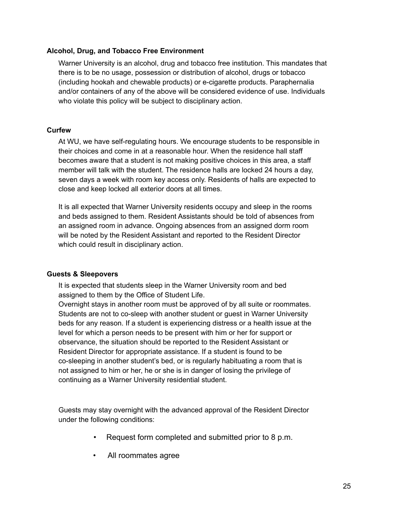#### **Alcohol, Drug, and Tobacco Free Environment**

Warner University is an alcohol, drug and tobacco free institution. This mandates that there is to be no usage, possession or distribution of alcohol, drugs or tobacco (including hookah and chewable products) or e-cigarette products. Paraphernalia and/or containers of any of the above will be considered evidence of use. Individuals who violate this policy will be subject to disciplinary action.

#### **Curfew**

At WU, we have self-regulating hours. We encourage students to be responsible in their choices and come in at a reasonable hour. When the residence hall staff becomes aware that a student is not making positive choices in this area, a staff member will talk with the student. The residence halls are locked 24 hours a day, seven days a week with room key access only. Residents of halls are expected to close and keep locked all exterior doors at all times.

It is all expected that Warner University residents occupy and sleep in the rooms and beds assigned to them. Resident Assistants should be told of absences from an assigned room in advance. Ongoing absences from an assigned dorm room will be noted by the Resident Assistant and reported to the Resident Director which could result in disciplinary action.

#### **Guests & Sleepovers**

It is expected that students sleep in the Warner University room and bed assigned to them by the Office of Student Life.

Overnight stays in another room must be approved of by all suite or roommates. Students are not to co-sleep with another student or guest in Warner University beds for any reason. If a student is experiencing distress or a health issue at the level for which a person needs to be present with him or her for support or observance, the situation should be reported to the Resident Assistant or Resident Director for appropriate assistance. If a student is found to be co-sleeping in another student's bed, or is regularly habituating a room that is not assigned to him or her, he or she is in danger of losing the privilege of continuing as a Warner University residential student.

Guests may stay overnight with the advanced approval of the Resident Director under the following conditions:

- Request form completed and submitted prior to 8 p.m.
- All roommates agree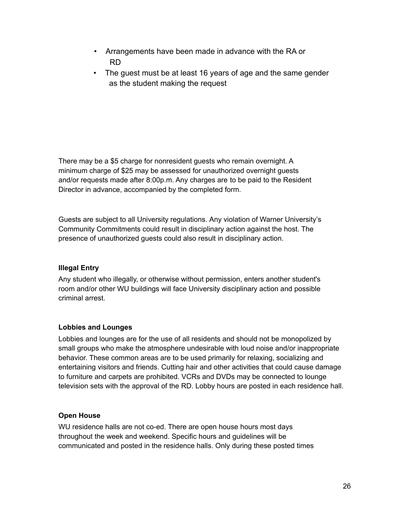- Arrangements have been made in advance with the RA or RD
- The guest must be at least 16 years of age and the same gender as the student making the request

There may be a \$5 charge for nonresident guests who remain overnight. A minimum charge of \$25 may be assessed for unauthorized overnight guests and/or requests made after 8:00p.m. Any charges are to be paid to the Resident Director in advance, accompanied by the completed form.

Guests are subject to all University regulations. Any violation of Warner University's Community Commitments could result in disciplinary action against the host. The presence of unauthorized guests could also result in disciplinary action.

#### **Illegal Entry**

Any student who illegally, or otherwise without permission, enters another student's room and/or other WU buildings will face University disciplinary action and possible criminal arrest.

## **Lobbies and Lounges**

Lobbies and lounges are for the use of all residents and should not be monopolized by small groups who make the atmosphere undesirable with loud noise and/or inappropriate behavior. These common areas are to be used primarily for relaxing, socializing and entertaining visitors and friends. Cutting hair and other activities that could cause damage to furniture and carpets are prohibited. VCRs and DVDs may be connected to lounge television sets with the approval of the RD. Lobby hours are posted in each residence hall.

## **Open House**

WU residence halls are not co-ed. There are open house hours most days throughout the week and weekend. Specific hours and guidelines will be communicated and posted in the residence halls. Only during these posted times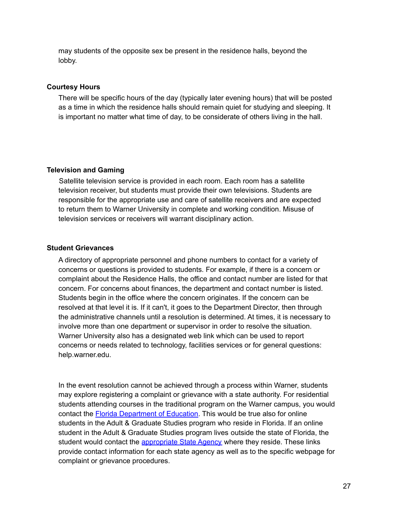may students of the opposite sex be present in the residence halls, beyond the lobby.

#### **Courtesy Hours**

There will be specific hours of the day (typically later evening hours) that will be posted as a time in which the residence halls should remain quiet for studying and sleeping. It is important no matter what time of day, to be considerate of others living in the hall.

#### **Television and Gaming**

Satellite television service is provided in each room. Each room has a satellite television receiver, but students must provide their own televisions. Students are responsible for the appropriate use and care of satellite receivers and are expected to return them to Warner University in complete and working condition. Misuse of television services or receivers will warrant disciplinary action.

#### **Student Grievances**

A directory of appropriate personnel and phone numbers to contact for a variety of concerns or questions is provided to students. For example, if there is a concern or complaint about the Residence Halls, the office and contact number are listed for that concern. For concerns about finances, the department and contact number is listed. Students begin in the office where the concern originates. If the concern can be resolved at that level it is. If it can't, it goes to the Department Director, then through the administrative channels until a resolution is determined. At times, it is necessary to involve more than one department or supervisor in order to resolve the situation. Warner University also has a designated web link which can be used to report concerns or needs related to technology, facilities services or for general questions: help.warner.edu.

In the event resolution cannot be achieved through a process within Warner, students may explore registering a complaint or grievance with a state authority. For residential students attending courses in the traditional program on the Warner campus, you would contact the [Florida Department of Education](http://www.fldoe.org/policy/cie/file-a-complaint.stml). This would be true also for online students in the Adult & Graduate Studies program who reside in Florida. If an online student in the Adult & Graduate Studies program lives outside the state of Florida, the student would contact the [appropriate State Agency](http://warner.edu/wp-content/uploads/2015/07/Appropriate-State-Agency.pdf) where they reside. These links provide contact information for each state agency as well as to the specific webpage for complaint or grievance procedures.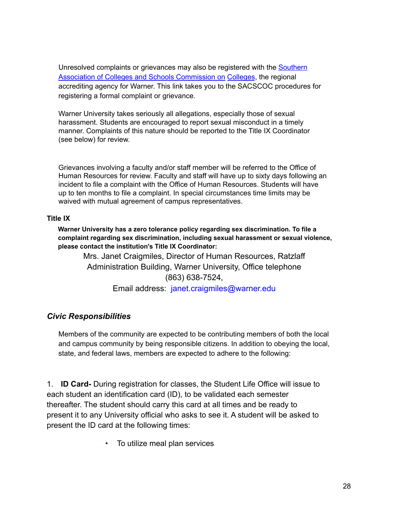Unresolved complaints or grievances may also be registered with the [Southern](http://www.sacscoc.org/pdf/081705/complaintpolicy.pdf) [Association of Colleges and Schools Commission on Colleges](http://www.sacscoc.org/pdf/081705/complaintpolicy.pdf), the regional accrediting agency for Warner. This link takes you to the SACSCOC procedures for registering a formal complaint or grievance.

Warner University takes seriously all allegations, especially those of sexual harassment. Students are encouraged to report sexual misconduct in a timely manner. Complaints of this nature should be reported to the Title IX Coordinator (see below) for review.

Grievances involving a faculty and/or staff member will be referred to the Office of Human Resources for review. Faculty and staff will have up to sixty days following an incident to file a complaint with the Office of Human Resources. Students will have up to ten months to file a complaint. In special circumstances time limits may be waived with mutual agreement of campus representatives.

#### **Title IX**

**Warner University has a zero tolerance policy regarding sex discrimination. To file a complaint regarding sex discrimination, including sexual harassment or sexual violence, please contact the institution's Title IX Coordinator:**

Mrs. Janet Craigmiles, Director of Human Resources, Ratzlaff Administration Building, Warner University, Office telephone (863) 638-7524, Email address: janet.craigmiles@warner.edu

## *Civic Responsibilities*

Members of the community are expected to be contributing members of both the local and campus community by being responsible citizens. In addition to obeying the local, state, and federal laws, members are expected to adhere to the following:

1. **ID Card-** During registration for classes, the Student Life Office will issue to each student an identification card (ID), to be validated each semester thereafter. The student should carry this card at all times and be ready to present it to any University official who asks to see it. A student will be asked to present the ID card at the following times:

• To utilize meal plan services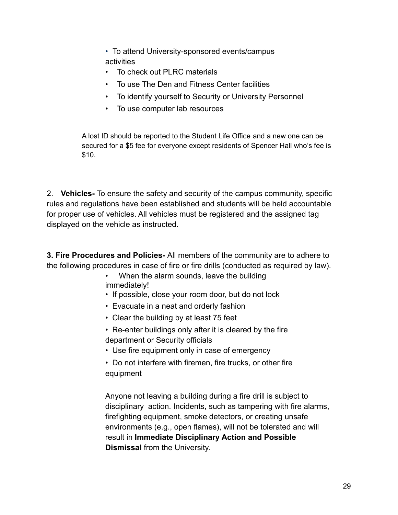• To attend University-sponsored events/campus activities

- To check out PLRC materials
- To use The Den and Fitness Center facilities
- To identify yourself to Security or University Personnel
- To use computer lab resources

A lost ID should be reported to the Student Life Office and a new one can be secured for a \$5 fee for everyone except residents of Spencer Hall who's fee is \$10.

2. **Vehicles-** To ensure the safety and security of the campus community, specific rules and regulations have been established and students will be held accountable for proper use of vehicles. All vehicles must be registered and the assigned tag displayed on the vehicle as instructed.

**3. Fire Procedures and Policies-** All members of the community are to adhere to the following procedures in case of fire or fire drills (conducted as required by law).

- When the alarm sounds, leave the building immediately!
- If possible, close your room door, but do not lock
- Evacuate in a neat and orderly fashion
- Clear the building by at least 75 feet
- Re-enter buildings only after it is cleared by the fire department or Security officials
- Use fire equipment only in case of emergency
- Do not interfere with firemen, fire trucks, or other fire equipment

Anyone not leaving a building during a fire drill is subject to disciplinary action. Incidents, such as tampering with fire alarms, firefighting equipment, smoke detectors, or creating unsafe environments (e.g., open flames), will not be tolerated and will result in **Immediate Disciplinary Action and Possible Dismissal** from the University.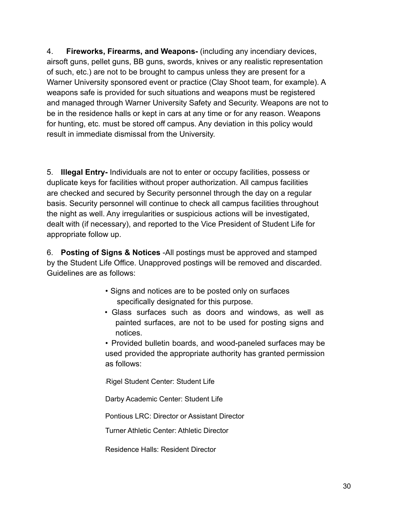4. **Fireworks, Firearms, and Weapons-** (including any incendiary devices, airsoft guns, pellet guns, BB guns, swords, knives or any realistic representation of such, etc.) are not to be brought to campus unless they are present for a Warner University sponsored event or practice (Clay Shoot team, for example). A weapons safe is provided for such situations and weapons must be registered and managed through Warner University Safety and Security. Weapons are not to be in the residence halls or kept in cars at any time or for any reason. Weapons for hunting, etc. must be stored off campus. Any deviation in this policy would result in immediate dismissal from the University.

5. **Illegal Entry-** Individuals are not to enter or occupy facilities, possess or duplicate keys for facilities without proper authorization. All campus facilities are checked and secured by Security personnel through the day on a regular basis. Security personnel will continue to check all campus facilities throughout the night as well. Any irregularities or suspicious actions will be investigated, dealt with (if necessary), and reported to the Vice President of Student Life for appropriate follow up.

6. **Posting of Signs & Notices** -All postings must be approved and stamped by the Student Life Office. Unapproved postings will be removed and discarded. Guidelines are as follows:

- Signs and notices are to be posted only on surfaces specifically designated for this purpose.
- Glass surfaces such as doors and windows, as well as painted surfaces, are not to be used for posting signs and notices.

• Provided bulletin boards, and wood-paneled surfaces may be used provided the appropriate authority has granted permission as follows:

•Rigel Student Center: Student Life

Darby Academic Center: Student Life

Pontious LRC: Director or Assistant Director

Turner Athletic Center: Athletic Director

Residence Halls: Resident Director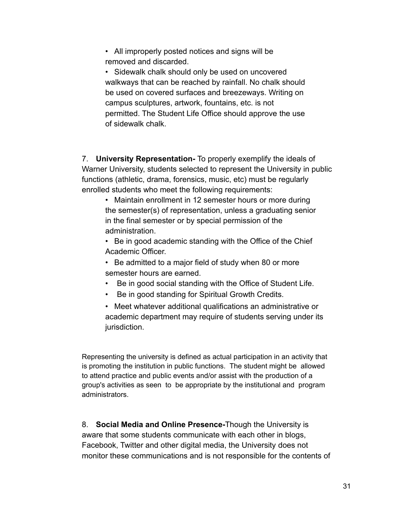• All improperly posted notices and signs will be removed and discarded.

• Sidewalk chalk should only be used on uncovered walkways that can be reached by rainfall. No chalk should be used on covered surfaces and breezeways. Writing on campus sculptures, artwork, fountains, etc. is not permitted. The Student Life Office should approve the use of sidewalk chalk.

7. **University Representation-** To properly exemplify the ideals of Warner University, students selected to represent the University in public functions (athletic, drama, forensics, music, etc) must be regularly enrolled students who meet the following requirements:

• Maintain enrollment in 12 semester hours or more during the semester(s) of representation, unless a graduating senior in the final semester or by special permission of the administration.

• Be in good academic standing with the Office of the Chief Academic Officer.

• Be admitted to a major field of study when 80 or more semester hours are earned.

- Be in good social standing with the Office of Student Life.
- Be in good standing for Spiritual Growth Credits.

• Meet whatever additional qualifications an administrative or academic department may require of students serving under its jurisdiction.

Representing the university is defined as actual participation in an activity that is promoting the institution in public functions. The student might be allowed to attend practice and public events and/or assist with the production of a group's activities as seen to be appropriate by the institutional and program administrators.

8. **Social Media and Online Presence-**Though the University is aware that some students communicate with each other in blogs, Facebook, Twitter and other digital media, the University does not monitor these communications and is not responsible for the contents of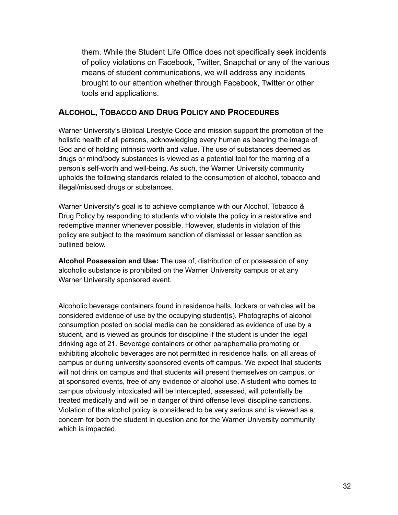them. While the Student Life Office does not specifically seek incidents of policy violations on Facebook, Twitter, Snapchat or any of the various means of student communications, we will address any incidents brought to our attention whether through Facebook, Twitter or other tools and applications.

## **ALCOHOL, TOBACCO AND DRUG POLICY AND PROCEDURES**

Warner University's Biblical Lifestyle Code and mission support the promotion of the holistic health of all persons, acknowledging every human as bearing the image of God and of holding intrinsic worth and value. The use of substances deemed as drugs or mind/body substances is viewed as a potential tool for the marring of a person's self-worth and well-being. As such, the Warner University community upholds the following standards related to the consumption of alcohol, tobacco and illegal/misused drugs or substances.

Warner University's goal is to achieve compliance with our Alcohol, Tobacco & Drug Policy by responding to students who violate the policy in a restorative and redemptive manner whenever possible. However, students in violation of this policy are subject to the maximum sanction of dismissal or lesser sanction as outlined below.

**Alcohol Possession and Use:** The use of, distribution of or possession of any alcoholic substance is prohibited on the Warner University campus or at any Warner University sponsored event.

Alcoholic beverage containers found in residence halls, lockers or vehicles will be considered evidence of use by the occupying student(s). Photographs of alcohol consumption posted on social media can be considered as evidence of use by a student, and is viewed as grounds for discipline if the student is under the legal drinking age of 21. Beverage containers or other paraphernalia promoting or exhibiting alcoholic beverages are not permitted in residence halls, on all areas of campus or during university sponsored events off campus. We expect that students will not drink on campus and that students will present themselves on campus, or at sponsored events, free of any evidence of alcohol use. A student who comes to campus obviously intoxicated will be intercepted, assessed, will potentially be treated medically and will be in danger of third offense level discipline sanctions. Violation of the alcohol policy is considered to be very serious and is viewed as a concern for both the student in question and for the Warner University community which is impacted.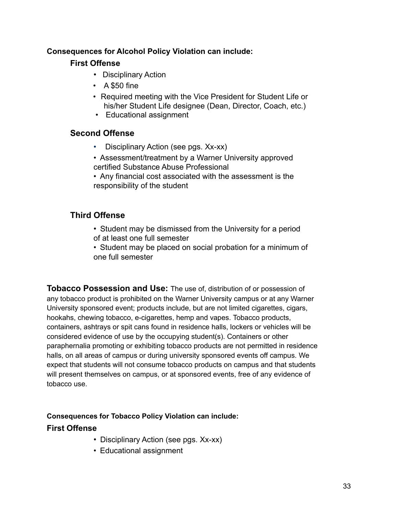## **Consequences for Alcohol Policy Violation can include:**

## **First Offense**

- Disciplinary Action
- A \$50 fine
- Required meeting with the Vice President for Student Life or his/her Student Life designee (Dean, Director, Coach, etc.)
- Educational assignment

## **Second Offense**

- Disciplinary Action (see pgs. Xx-xx)
- Assessment/treatment by a Warner University approved certified Substance Abuse Professional
- Any financial cost associated with the assessment is the responsibility of the student

## **Third Offense**

- Student may be dismissed from the University for a period of at least one full semester
- Student may be placed on social probation for a minimum of one full semester

**Tobacco Possession and Use:** The use of, distribution of or possession of any tobacco product is prohibited on the Warner University campus or at any Warner University sponsored event; products include, but are not limited cigarettes, cigars, hookahs, chewing tobacco, e-cigarettes, hemp and vapes. Tobacco products, containers, ashtrays or spit cans found in residence halls, lockers or vehicles will be considered evidence of use by the occupying student(s). Containers or other paraphernalia promoting or exhibiting tobacco products are not permitted in residence halls, on all areas of campus or during university sponsored events off campus. We expect that students will not consume tobacco products on campus and that students will present themselves on campus, or at sponsored events, free of any evidence of tobacco use.

## **Consequences for Tobacco Policy Violation can include:**

## **First Offense**

- Disciplinary Action (see pgs. Xx-xx)
- Educational assignment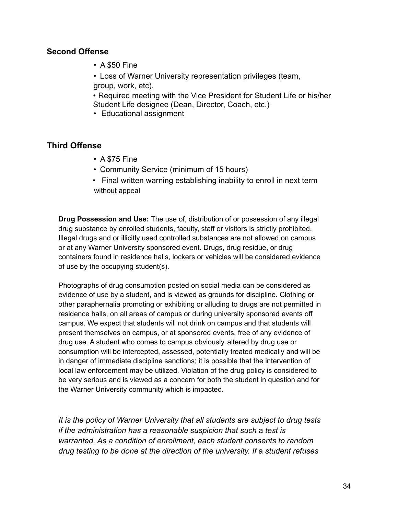#### **Second Offense**

• A \$50 Fine

• Loss of Warner University representation privileges (team, group, work, etc).

• Required meeting with the Vice President for Student Life or his/her Student Life designee (Dean, Director, Coach, etc.)

• Educational assignment

## **Third Offense**

- A \$75 Fine
- Community Service (minimum of 15 hours)
- Final written warning establishing inability to enroll in next term without appeal

**Drug Possession and Use:** The use of, distribution of or possession of any illegal drug substance by enrolled students, faculty, staff or visitors is strictly prohibited. Illegal drugs and or illicitly used controlled substances are not allowed on campus or at any Warner University sponsored event. Drugs, drug residue, or drug containers found in residence halls, lockers or vehicles will be considered evidence of use by the occupying student(s).

Photographs of drug consumption posted on social media can be considered as evidence of use by a student, and is viewed as grounds for discipline. Clothing or other paraphernalia promoting or exhibiting or alluding to drugs are not permitted in residence halls, on all areas of campus or during university sponsored events off campus. We expect that students will not drink on campus and that students will present themselves on campus, or at sponsored events, free of any evidence of drug use. A student who comes to campus obviously altered by drug use or consumption will be intercepted, assessed, potentially treated medically and will be in danger of immediate discipline sanctions; it is possible that the intervention of local law enforcement may be utilized. Violation of the drug policy is considered to be very serious and is viewed as a concern for both the student in question and for the Warner University community which is impacted.

*It is the policy of Warner University that all students are subject to drug tests if the administration has* a *reasonable suspicion that such* a *test is warranted. As a condition of enrollment, each student consents to random drug testing to be done at the direction of the university. If* a *student refuses*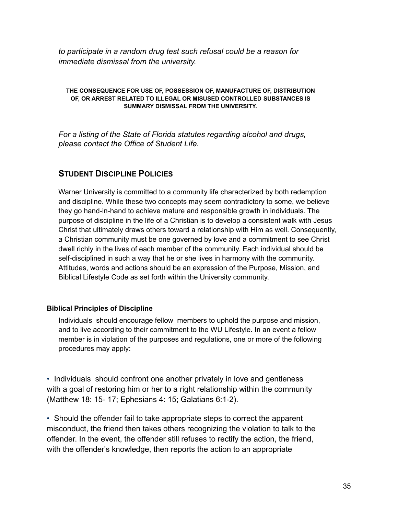*to participate in a random drug test such refusal could be a reason for immediate dismissal from the university.*

#### **THE CONSEQUENCE FOR USE OF, POSSESSION OF, MANUFACTURE OF, DISTRIBUTION OF, OR ARREST RELATED TO ILLEGAL OR MISUSED CONTROLLED SUBSTANCES IS SUMMARY DISMISSAL FROM THE UNIVERSITY.**

*For a listing of the State of Florida statutes regarding alcohol and drugs, please contact the Office of Student Life.*

## **STUDENT DISCIPLINE POLICIES**

Warner University is committed to a community life characterized by both redemption and discipline. While these two concepts may seem contradictory to some, we believe they go hand-in-hand to achieve mature and responsible growth in individuals. The purpose of discipline in the life of a Christian is to develop a consistent walk with Jesus Christ that ultimately draws others toward a relationship with Him as well. Consequently, a Christian community must be one governed by love and a commitment to see Christ dwell richly in the lives of each member of the community. Each individual should be self-disciplined in such a way that he or she lives in harmony with the community. Attitudes, words and actions should be an expression of the Purpose, Mission, and Biblical Lifestyle Code as set forth within the University community.

#### **Biblical Principles of Discipline**

Individuals should encourage fellow members to uphold the purpose and mission, and to live according to their commitment to the WU Lifestyle. In an event a fellow member is in violation of the purposes and regulations, one or more of the following procedures may apply:

• Individuals should confront one another privately in love and gentleness with a goal of restoring him or her to a right relationship within the community (Matthew 18: 15- 17; Ephesians 4: 15; Galatians 6:1-2).

• Should the offender fail to take appropriate steps to correct the apparent misconduct, the friend then takes others recognizing the violation to talk to the offender. In the event, the offender still refuses to rectify the action, the friend, with the offender's knowledge, then reports the action to an appropriate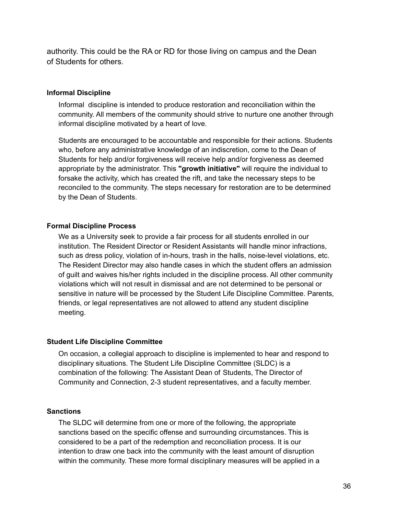authority. This could be the RA or RD for those living on campus and the Dean of Students for others.

#### **Informal Discipline**

Informal discipline is intended to produce restoration and reconciliation within the community. All members of the community should strive to nurture one another through informal discipline motivated by a heart of love.

Students are encouraged to be accountable and responsible for their actions. Students who, before any administrative knowledge of an indiscretion, come to the Dean of Students for help and/or forgiveness will receive help and/or forgiveness as deemed appropriate by the administrator. This **"growth initiative"** will require the individual to forsake the activity, which has created the rift, and take the necessary steps to be reconciled to the community. The steps necessary for restoration are to be determined by the Dean of Students.

#### **Formal Discipline Process**

We as a University seek to provide a fair process for all students enrolled in our institution. The Resident Director or Resident Assistants will handle minor infractions, such as dress policy, violation of in-hours, trash in the halls, noise-level violations, etc. The Resident Director may also handle cases in which the student offers an admission of guilt and waives his/her rights included in the discipline process. All other community violations which will not result in dismissal and are not determined to be personal or sensitive in nature will be processed by the Student Life Discipline Committee. Parents, friends, or legal representatives are not allowed to attend any student discipline meeting.

#### **Student Life Discipline Committee**

On occasion, a collegial approach to discipline is implemented to hear and respond to disciplinary situations. The Student Life Discipline Committee (SLDC) is a combination of the following: The Assistant Dean of Students, The Director of Community and Connection, 2-3 student representatives, and a faculty member.

#### **Sanctions**

The SLDC will determine from one or more of the following, the appropriate sanctions based on the specific offense and surrounding circumstances. This is considered to be a part of the redemption and reconciliation process. It is our intention to draw one back into the community with the least amount of disruption within the community. These more formal disciplinary measures will be applied in a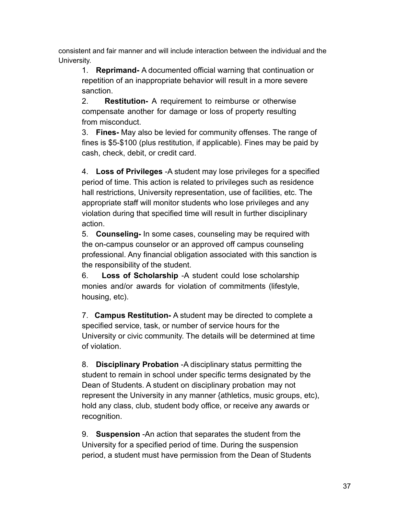consistent and fair manner and will include interaction between the individual and the University.

1. **Reprimand-** A documented official warning that continuation or repetition of an inappropriate behavior will result in a more severe sanction.

2. **Restitution-** A requirement to reimburse or otherwise compensate another for damage or loss of property resulting from misconduct.

3. **Fines-** May also be levied for community offenses. The range of fines is \$5-\$100 (plus restitution, if applicable). Fines may be paid by cash, check, debit, or credit card.

4. **Loss of Privileges** -A student may lose privileges for a specified period of time. This action is related to privileges such as residence hall restrictions, University representation, use of facilities, etc. The appropriate staff will monitor students who lose privileges and any violation during that specified time will result in further disciplinary action.

5. **Counseling-** In some cases, counseling may be required with the on-campus counselor or an approved off campus counseling professional. Any financial obligation associated with this sanction is the responsibility of the student.

6. **Loss of Scholarship** -A student could lose scholarship monies and/or awards for violation of commitments (lifestyle, housing, etc).

7. **Campus Restitution-** A student may be directed to complete a specified service, task, or number of service hours for the University or civic community. The details will be determined at time of violation.

8. **Disciplinary Probation** -A disciplinary status permitting the student to remain in school under specific terms designated by the Dean of Students. A student on disciplinary probation may not represent the University in any manner {athletics, music groups, etc), hold any class, club, student body office, or receive any awards or recognition.

9. **Suspension** -An action that separates the student from the University for a specified period of time. During the suspension period, a student must have permission from the Dean of Students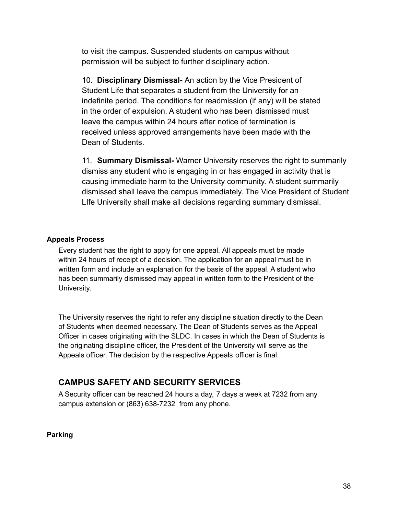to visit the campus. Suspended students on campus without permission will be subject to further disciplinary action.

10. **Disciplinary Dismissal-** An action by the Vice President of Student Life that separates a student from the University for an indefinite period. The conditions for readmission (if any) will be stated in the order of expulsion. A student who has been dismissed must leave the campus within 24 hours after notice of termination is received unless approved arrangements have been made with the Dean of Students.

11. **Summary Dismissal-** Warner University reserves the right to summarily dismiss any student who is engaging in or has engaged in activity that is causing immediate harm to the University community. A student summarily dismissed shall leave the campus immediately. The Vice President of Student LIfe University shall make all decisions regarding summary dismissal.

#### **Appeals Process**

Every student has the right to apply for one appeal. All appeals must be made within 24 hours of receipt of a decision. The application for an appeal must be in written form and include an explanation for the basis of the appeal. A student who has been summarily dismissed may appeal in written form to the President of the University.

The University reserves the right to refer any discipline situation directly to the Dean of Students when deemed necessary. The Dean of Students serves as the Appeal Officer in cases originating with the SLDC. In cases in which the Dean of Students is the originating discipline officer, the President of the University will serve as the Appeals officer. The decision by the respective Appeals officer is final.

## **CAMPUS SAFETY AND SECURITY SERVICES**

A Security officer can be reached 24 hours a day, 7 days a week at 7232 from any campus extension or (863) 638-7232 from any phone.

**Parking**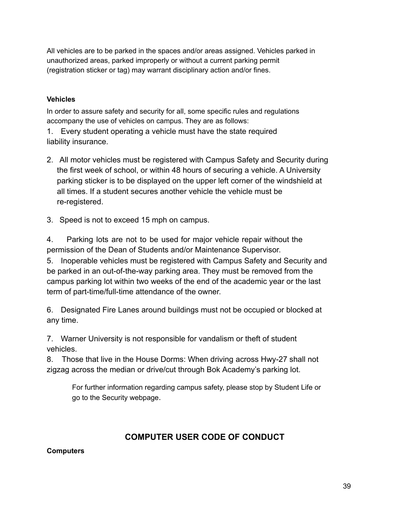All vehicles are to be parked in the spaces and/or areas assigned. Vehicles parked in unauthorized areas, parked improperly or without a current parking permit (registration sticker or tag) may warrant disciplinary action and/or fines.

## **Vehicles**

In order to assure safety and security for all, some specific rules and regulations accompany the use of vehicles on campus. They are as follows:

1. Every student operating a vehicle must have the state required liability insurance.

- 2. All motor vehicles must be registered with Campus Safety and Security during the first week of school, or within 48 hours of securing a vehicle. A University parking sticker is to be displayed on the upper left corner of the windshield at all times. If a student secures another vehicle the vehicle must be re-registered.
- 3. Speed is not to exceed 15 mph on campus.

4. Parking lots are not to be used for major vehicle repair without the permission of the Dean of Students and/or Maintenance Supervisor.

5. Inoperable vehicles must be registered with Campus Safety and Security and be parked in an out-of-the-way parking area. They must be removed from the campus parking lot within two weeks of the end of the academic year or the last term of part-time/full-time attendance of the owner.

6. Designated Fire Lanes around buildings must not be occupied or blocked at any time.

7. Warner University is not responsible for vandalism or theft of student vehicles.

8. Those that live in the House Dorms: When driving across Hwy-27 shall not zigzag across the median or drive/cut through Bok Academy's parking lot.

For further information regarding campus safety, please stop by Student Life or go to the Security webpage.

## **COMPUTER USER CODE OF CONDUCT**

## **Computers**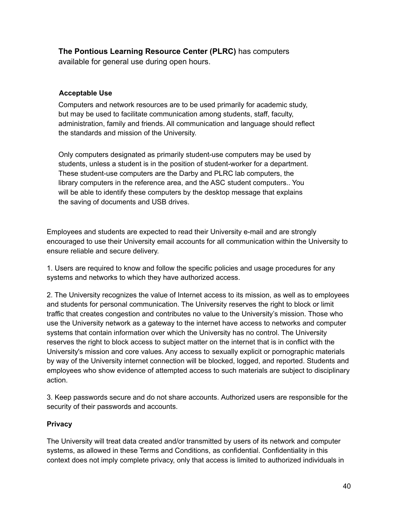**The Pontious Learning Resource Center (PLRC)** has computers available for general use during open hours.

#### **Acceptable Use**

Computers and network resources are to be used primarily for academic study, but may be used to facilitate communication among students, staff, faculty, administration, family and friends. All communication and language should reflect the standards and mission of the University.

Only computers designated as primarily student-use computers may be used by students, unless a student is in the position of student-worker for a department. These student-use computers are the Darby and PLRC lab computers, the library computers in the reference area, and the ASC student computers.. You will be able to identify these computers by the desktop message that explains the saving of documents and USB drives.

Employees and students are expected to read their University e-mail and are strongly encouraged to use their University email accounts for all communication within the University to ensure reliable and secure delivery.

1. Users are required to know and follow the specific policies and usage procedures for any systems and networks to which they have authorized access.

2. The University recognizes the value of Internet access to its mission, as well as to employees and students for personal communication. The University reserves the right to block or limit traffic that creates congestion and contributes no value to the University's mission. Those who use the University network as a gateway to the internet have access to networks and computer systems that contain information over which the University has no control. The University reserves the right to block access to subject matter on the internet that is in conflict with the University's mission and core values. Any access to sexually explicit or pornographic materials by way of the University internet connection will be blocked, logged, and reported. Students and employees who show evidence of attempted access to such materials are subject to disciplinary action.

3. Keep passwords secure and do not share accounts. Authorized users are responsible for the security of their passwords and accounts.

#### **Privacy**

The University will treat data created and/or transmitted by users of its network and computer systems, as allowed in these Terms and Conditions, as confidential. Confidentiality in this context does not imply complete privacy, only that access is limited to authorized individuals in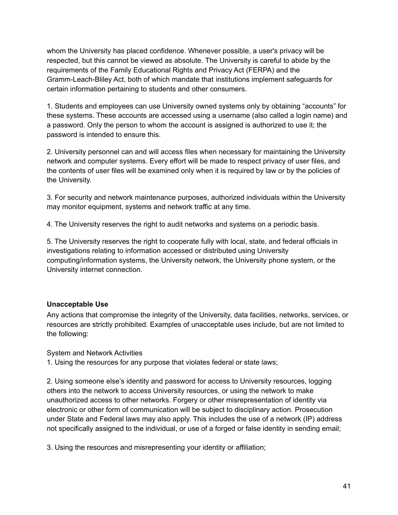whom the University has placed confidence. Whenever possible, a user's privacy will be respected, but this cannot be viewed as absolute. The University is careful to abide by the requirements of the Family Educational Rights and Privacy Act (FERPA) and the Gramm-Leach-Bliley Act, both of which mandate that institutions implement safeguards for certain information pertaining to students and other consumers.

1. Students and employees can use University owned systems only by obtaining "accounts" for these systems. These accounts are accessed using a username (also called a login name) and a password. Only the person to whom the account is assigned is authorized to use it; the password is intended to ensure this.

2. University personnel can and will access files when necessary for maintaining the University network and computer systems. Every effort will be made to respect privacy of user files, and the contents of user files will be examined only when it is required by law or by the policies of the University.

3. For security and network maintenance purposes, authorized individuals within the University may monitor equipment, systems and network traffic at any time.

4. The University reserves the right to audit networks and systems on a periodic basis.

5. The University reserves the right to cooperate fully with local, state, and federal officials in investigations relating to information accessed or distributed using University computing/information systems, the University network, the University phone system, or the University internet connection.

#### **Unacceptable Use**

Any actions that compromise the integrity of the University, data facilities, networks, services, or resources are strictly prohibited. Examples of unacceptable uses include, but are not limited to the following:

System and Network Activities

1. Using the resources for any purpose that violates federal or state laws;

2. Using someone else's identity and password for access to University resources, logging others into the network to access University resources, or using the network to make unauthorized access to other networks. Forgery or other misrepresentation of identity via electronic or other form of communication will be subject to disciplinary action. Prosecution under State and Federal laws may also apply. This includes the use of a network (IP) address not specifically assigned to the individual, or use of a forged or false identity in sending email;

3. Using the resources and misrepresenting your identity or affiliation;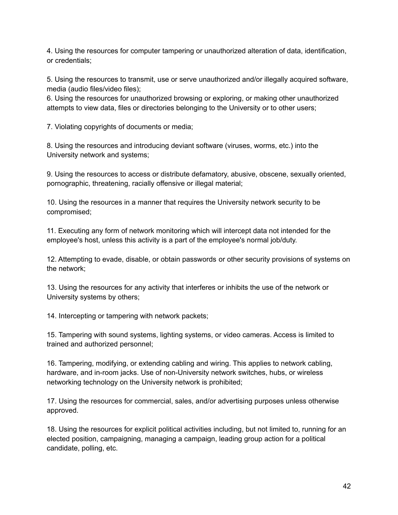4. Using the resources for computer tampering or unauthorized alteration of data, identification, or credentials;

5. Using the resources to transmit, use or serve unauthorized and/or illegally acquired software, media (audio files/video files);

6. Using the resources for unauthorized browsing or exploring, or making other unauthorized attempts to view data, files or directories belonging to the University or to other users;

7. Violating copyrights of documents or media;

8. Using the resources and introducing deviant software (viruses, worms, etc.) into the University network and systems;

9. Using the resources to access or distribute defamatory, abusive, obscene, sexually oriented, pornographic, threatening, racially offensive or illegal material;

10. Using the resources in a manner that requires the University network security to be compromised;

11. Executing any form of network monitoring which will intercept data not intended for the employee's host, unless this activity is a part of the employee's normal job/duty.

12. Attempting to evade, disable, or obtain passwords or other security provisions of systems on the network;

13. Using the resources for any activity that interferes or inhibits the use of the network or University systems by others;

14. Intercepting or tampering with network packets;

15. Tampering with sound systems, lighting systems, or video cameras. Access is limited to trained and authorized personnel;

16. Tampering, modifying, or extending cabling and wiring. This applies to network cabling, hardware, and in-room jacks. Use of non-University network switches, hubs, or wireless networking technology on the University network is prohibited;

17. Using the resources for commercial, sales, and/or advertising purposes unless otherwise approved.

18. Using the resources for explicit political activities including, but not limited to, running for an elected position, campaigning, managing a campaign, leading group action for a political candidate, polling, etc.